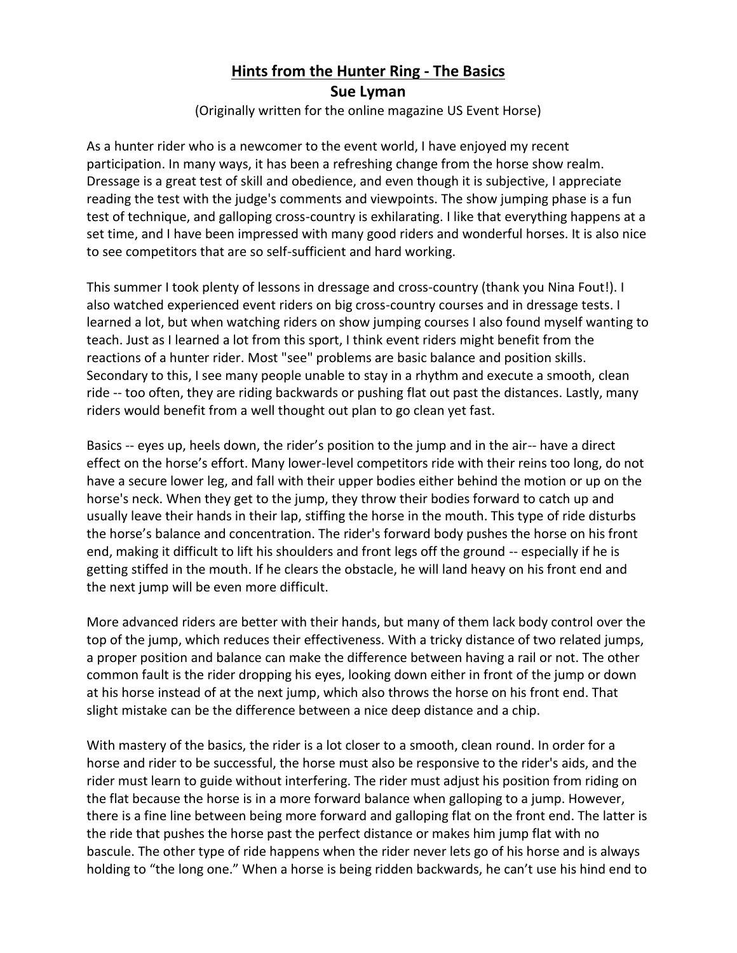## **Hints from the Hunter Ring - The Basics**

**Sue Lyman**

(Originally written for the online magazine US Event Horse)

As a hunter rider who is a newcomer to the event world, I have enjoyed my recent participation. In many ways, it has been a refreshing change from the horse show realm. Dressage is a great test of skill and obedience, and even though it is subjective, I appreciate reading the test with the judge's comments and viewpoints. The show jumping phase is a fun test of technique, and galloping cross-country is exhilarating. I like that everything happens at a set time, and I have been impressed with many good riders and wonderful horses. It is also nice to see competitors that are so self-sufficient and hard working.

This summer I took plenty of lessons in dressage and cross-country (thank you Nina Fout!). I also watched experienced event riders on big cross-country courses and in dressage tests. I learned a lot, but when watching riders on show jumping courses I also found myself wanting to teach. Just as I learned a lot from this sport, I think event riders might benefit from the reactions of a hunter rider. Most "see" problems are basic balance and position skills. Secondary to this, I see many people unable to stay in a rhythm and execute a smooth, clean ride -- too often, they are riding backwards or pushing flat out past the distances. Lastly, many riders would benefit from a well thought out plan to go clean yet fast.

Basics -- eyes up, heels down, the rider's position to the jump and in the air-- have a direct effect on the horse's effort. Many lower-level competitors ride with their reins too long, do not have a secure lower leg, and fall with their upper bodies either behind the motion or up on the horse's neck. When they get to the jump, they throw their bodies forward to catch up and usually leave their hands in their lap, stiffing the horse in the mouth. This type of ride disturbs the horse's balance and concentration. The rider's forward body pushes the horse on his front end, making it difficult to lift his shoulders and front legs off the ground -- especially if he is getting stiffed in the mouth. If he clears the obstacle, he will land heavy on his front end and the next jump will be even more difficult.

More advanced riders are better with their hands, but many of them lack body control over the top of the jump, which reduces their effectiveness. With a tricky distance of two related jumps, a proper position and balance can make the difference between having a rail or not. The other common fault is the rider dropping his eyes, looking down either in front of the jump or down at his horse instead of at the next jump, which also throws the horse on his front end. That slight mistake can be the difference between a nice deep distance and a chip.

With mastery of the basics, the rider is a lot closer to a smooth, clean round. In order for a horse and rider to be successful, the horse must also be responsive to the rider's aids, and the rider must learn to guide without interfering. The rider must adjust his position from riding on the flat because the horse is in a more forward balance when galloping to a jump. However, there is a fine line between being more forward and galloping flat on the front end. The latter is the ride that pushes the horse past the perfect distance or makes him jump flat with no bascule. The other type of ride happens when the rider never lets go of his horse and is always holding to "the long one." When a horse is being ridden backwards, he can't use his hind end to